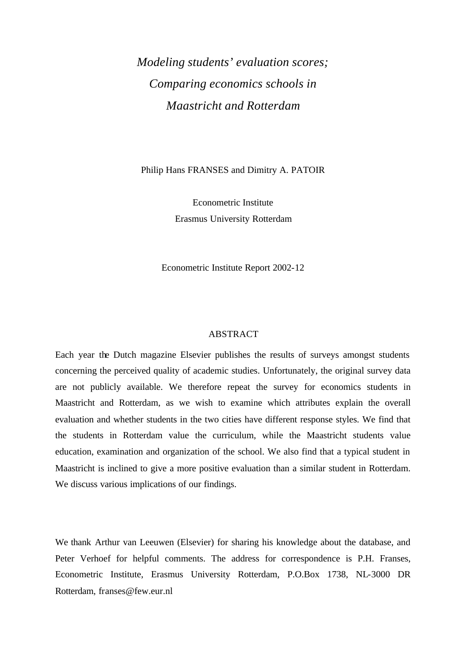## *Modeling students' evaluation scores; Comparing economics schools in Maastricht and Rotterdam*

Philip Hans FRANSES and Dimitry A. PATOIR

Econometric Institute Erasmus University Rotterdam

Econometric Institute Report 2002-12

### ABSTRACT

Each year the Dutch magazine Elsevier publishes the results of surveys amongst students concerning the perceived quality of academic studies. Unfortunately, the original survey data are not publicly available. We therefore repeat the survey for economics students in Maastricht and Rotterdam, as we wish to examine which attributes explain the overall evaluation and whether students in the two cities have different response styles. We find that the students in Rotterdam value the curriculum, while the Maastricht students value education, examination and organization of the school. We also find that a typical student in Maastricht is inclined to give a more positive evaluation than a similar student in Rotterdam. We discuss various implications of our findings.

We thank Arthur van Leeuwen (Elsevier) for sharing his knowledge about the database, and Peter Verhoef for helpful comments. The address for correspondence is P.H. Franses, Econometric Institute, Erasmus University Rotterdam, P.O.Box 1738, NL-3000 DR Rotterdam, franses@few.eur.nl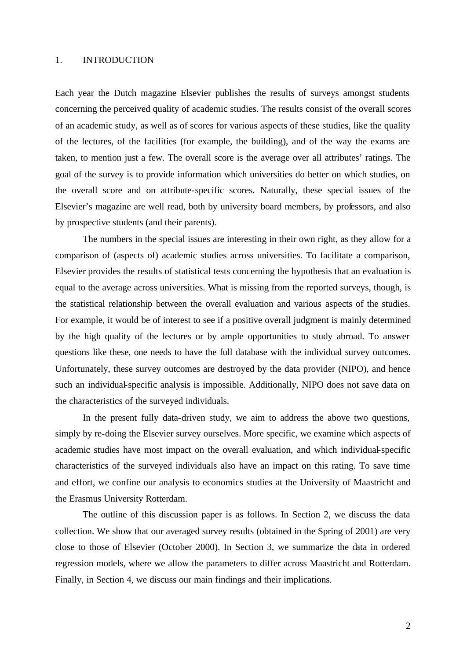### 1. INTRODUCTION

Each year the Dutch magazine Elsevier publishes the results of surveys amongst students concerning the perceived quality of academic studies. The results consist of the overall scores of an academic study, as well as of scores for various aspects of these studies, like the quality of the lectures, of the facilities (for example, the building), and of the way the exams are taken, to mention just a few. The overall score is the average over all attributes' ratings. The goal of the survey is to provide information which universities do better on which studies, on the overall score and on attribute-specific scores. Naturally, these special issues of the Elsevier's magazine are well read, both by university board members, by professors, and also by prospective students (and their parents).

The numbers in the special issues are interesting in their own right, as they allow for a comparison of (aspects of) academic studies across universities. To facilitate a comparison, Elsevier provides the results of statistical tests concerning the hypothesis that an evaluation is equal to the average across universities. What is missing from the reported surveys, though, is the statistical relationship between the overall evaluation and various aspects of the studies. For example, it would be of interest to see if a positive overall judgment is mainly determined by the high quality of the lectures or by ample opportunities to study abroad. To answer questions like these, one needs to have the full database with the individual survey outcomes. Unfortunately, these survey outcomes are destroyed by the data provider (NIPO), and hence such an individual-specific analysis is impossible. Additionally, NIPO does not save data on the characteristics of the surveyed individuals.

In the present fully data-driven study, we aim to address the above two questions, simply by re-doing the Elsevier survey ourselves. More specific, we examine which aspects of academic studies have most impact on the overall evaluation, and which individual-specific characteristics of the surveyed individuals also have an impact on this rating. To save time and effort, we confine our analysis to economics studies at the University of Maastricht and the Erasmus University Rotterdam.

The outline of this discussion paper is as follows. In Section 2, we discuss the data collection. We show that our averaged survey results (obtained in the Spring of 2001) are very close to those of Elsevier (October 2000). In Section 3, we summarize the data in ordered regression models, where we allow the parameters to differ across Maastricht and Rotterdam. Finally, in Section 4, we discuss our main findings and their implications.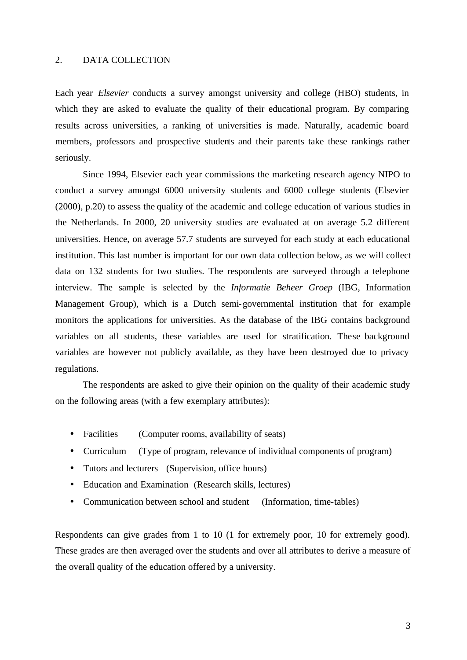### 2. DATA COLLECTION

Each year *Elsevier* conducts a survey amongst university and college (HBO) students, in which they are asked to evaluate the quality of their educational program. By comparing results across universities, a ranking of universities is made. Naturally, academic board members, professors and prospective students and their parents take these rankings rather seriously.

Since 1994, Elsevier each year commissions the marketing research agency NIPO to conduct a survey amongst 6000 university students and 6000 college students (Elsevier (2000), p.20) to assess the quality of the academic and college education of various studies in the Netherlands. In 2000, 20 university studies are evaluated at on average 5.2 different universities. Hence, on average 57.7 students are surveyed for each study at each educational institution. This last number is important for our own data collection below, as we will collect data on 132 students for two studies. The respondents are surveyed through a telephone interview. The sample is selected by the *Informatie Beheer Groep* (IBG, Information Management Group), which is a Dutch semi-governmental institution that for example monitors the applications for universities. As the database of the IBG contains background variables on all students, these variables are used for stratification. These background variables are however not publicly available, as they have been destroyed due to privacy regulations.

The respondents are asked to give their opinion on the quality of their academic study on the following areas (with a few exemplary attributes):

- Facilities (Computer rooms, availability of seats)
- Curriculum (Type of program, relevance of individual components of program)
- Tutors and lecturers (Supervision, office hours)
- Education and Examination (Research skills, lectures)
- Communication between school and student (Information, time-tables)

Respondents can give grades from 1 to 10 (1 for extremely poor, 10 for extremely good). These grades are then averaged over the students and over all attributes to derive a measure of the overall quality of the education offered by a university.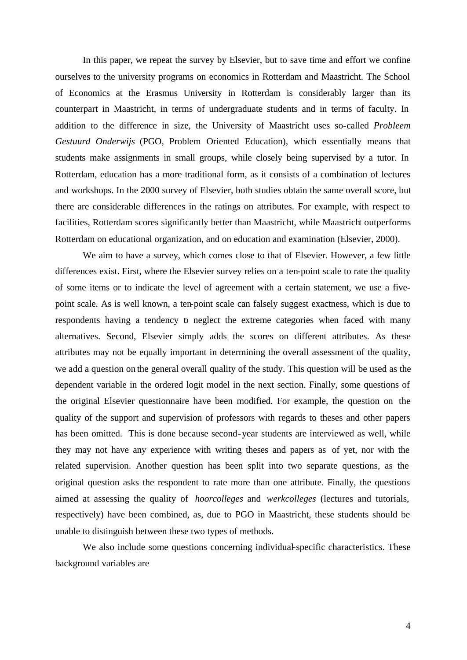In this paper, we repeat the survey by Elsevier, but to save time and effort we confine ourselves to the university programs on economics in Rotterdam and Maastricht. The School of Economics at the Erasmus University in Rotterdam is considerably larger than its counterpart in Maastricht, in terms of undergraduate students and in terms of faculty. In addition to the difference in size, the University of Maastricht uses so-called *Probleem Gestuurd Onderwijs* (PGO, Problem Oriented Education), which essentially means that students make assignments in small groups, while closely being supervised by a tutor. In Rotterdam, education has a more traditional form, as it consists of a combination of lectures and workshops. In the 2000 survey of Elsevier, both studies obtain the same overall score, but there are considerable differences in the ratings on attributes. For example, with respect to facilities, Rotterdam scores significantly better than Maastricht, while Maastricht outperforms Rotterdam on educational organization, and on education and examination (Elsevier, 2000).

We aim to have a survey, which comes close to that of Elsevier. However, a few little differences exist. First, where the Elsevier survey relies on a ten-point scale to rate the quality of some items or to indicate the level of agreement with a certain statement, we use a fivepoint scale. As is well known, a ten-point scale can falsely suggest exactness, which is due to respondents having a tendency  $b$  neglect the extreme categories when faced with many alternatives. Second, Elsevier simply adds the scores on different attributes. As these attributes may not be equally important in determining the overall assessment of the quality, we add a question on the general overall quality of the study. This question will be used as the dependent variable in the ordered logit model in the next section. Finally, some questions of the original Elsevier questionnaire have been modified. For example, the question on the quality of the support and supervision of professors with regards to theses and other papers has been omitted. This is done because second-year students are interviewed as well, while they may not have any experience with writing theses and papers as of yet, nor with the related supervision. Another question has been split into two separate questions, as the original question asks the respondent to rate more than one attribute. Finally, the questions aimed at assessing the quality of *hoorcolleges* and *werkcolleges* (lectures and tutorials, respectively) have been combined, as, due to PGO in Maastricht, these students should be unable to distinguish between these two types of methods.

We also include some questions concerning individual-specific characteristics. These background variables are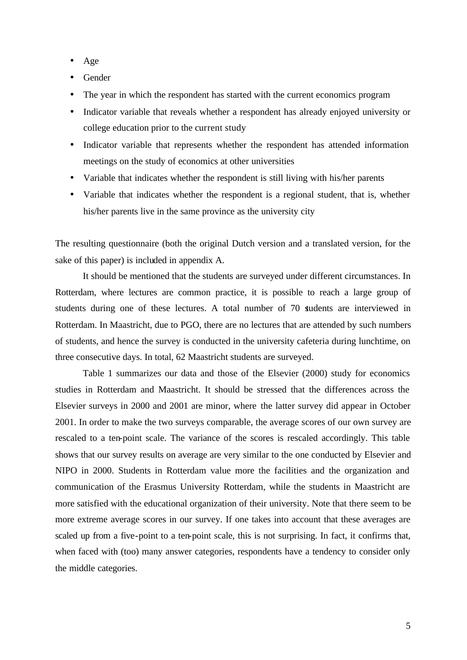- Age
- Gender
- The year in which the respondent has started with the current economics program
- Indicator variable that reveals whether a respondent has already enjoyed university or college education prior to the current study
- Indicator variable that represents whether the respondent has attended information meetings on the study of economics at other universities
- Variable that indicates whether the respondent is still living with his/her parents
- Variable that indicates whether the respondent is a regional student, that is, whether his/her parents live in the same province as the university city

The resulting questionnaire (both the original Dutch version and a translated version, for the sake of this paper) is included in appendix A.

It should be mentioned that the students are surveyed under different circumstances. In Rotterdam, where lectures are common practice, it is possible to reach a large group of students during one of these lectures. A total number of 70 students are interviewed in Rotterdam. In Maastricht, due to PGO, there are no lectures that are attended by such numbers of students, and hence the survey is conducted in the university cafeteria during lunchtime, on three consecutive days. In total, 62 Maastricht students are surveyed.

Table 1 summarizes our data and those of the Elsevier (2000) study for economics studies in Rotterdam and Maastricht. It should be stressed that the differences across the Elsevier surveys in 2000 and 2001 are minor, where the latter survey did appear in October 2001. In order to make the two surveys comparable, the average scores of our own survey are rescaled to a ten-point scale. The variance of the scores is rescaled accordingly. This table shows that our survey results on average are very similar to the one conducted by Elsevier and NIPO in 2000. Students in Rotterdam value more the facilities and the organization and communication of the Erasmus University Rotterdam, while the students in Maastricht are more satisfied with the educational organization of their university. Note that there seem to be more extreme average scores in our survey. If one takes into account that these averages are scaled up from a five-point to a ten-point scale, this is not surprising. In fact, it confirms that, when faced with (too) many answer categories, respondents have a tendency to consider only the middle categories.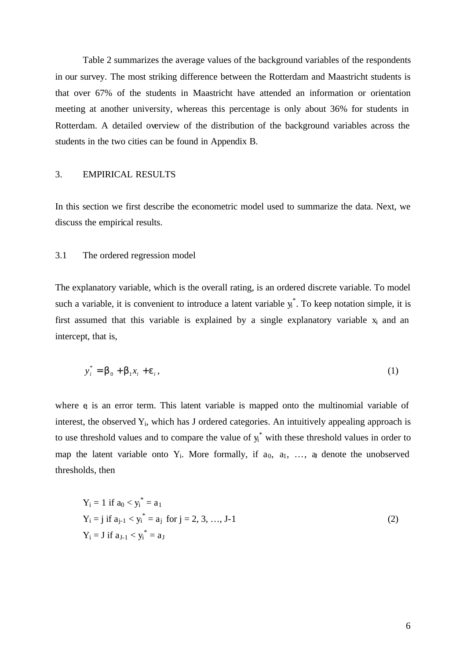Table 2 summarizes the average values of the background variables of the respondents in our survey. The most striking difference between the Rotterdam and Maastricht students is that over 67% of the students in Maastricht have attended an information or orientation meeting at another university, whereas this percentage is only about 36% for students in Rotterdam. A detailed overview of the distribution of the background variables across the students in the two cities can be found in Appendix B.

### 3. EMPIRICAL RESULTS

In this section we first describe the econometric model used to summarize the data. Next, we discuss the empirical results.

### 3.1 The ordered regression model

The explanatory variable, which is the overall rating, is an ordered discrete variable. To model such a variable, it is convenient to introduce a latent variable  $y_i^*$ . To keep notation simple, it is first assumed that this variable is explained by a single explanatory variable  $x_i$  and an intercept, that is,

$$
y_i^* = \boldsymbol{b}_0 + \boldsymbol{b}_1 x_i + \boldsymbol{e}_i,\tag{1}
$$

where  $e_i$  is an error term. This latent variable is mapped onto the multinomial variable of interest, the observed Yi, which has J ordered categories. An intuitively appealing approach is to use threshold values and to compare the value of  $y_i^*$  with these threshold values in order to map the latent variable onto  $Y_i$ . More formally, if  $a_0$ ,  $a_1$ , ...,  $a_j$  denote the unobserved thresholds, then

$$
Y_{i} = 1 \text{ if } a_{0} < y_{i}^{*} = a_{1}
$$
\n
$$
Y_{i} = j \text{ if } a_{j-1} < y_{i}^{*} = a_{j} \text{ for } j = 2, 3, \dots, J-1
$$
\n
$$
Y_{i} = J \text{ if } a_{J-1} < y_{i}^{*} = a_{J}
$$
\n
$$
(2)
$$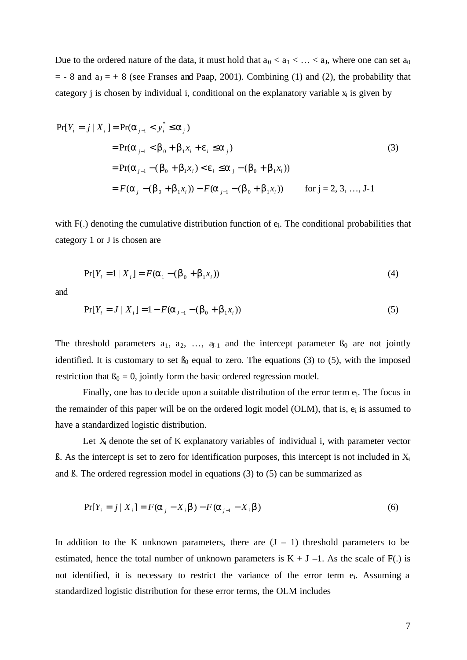Due to the ordered nature of the data, it must hold that  $a_0 < a_1 < ... < a_J$ , where one can set  $a_0$  $=$  - 8 and  $a_J = +8$  (see Franses and Paap, 2001). Combining (1) and (2), the probability that category *j* is chosen by individual *i*, conditional on the explanatory variable  $x_i$  is given by

$$
Pr[Y_{i} = j | X_{i}] = Pr(\mathbf{a}_{j-1} < y_{i}^{*} \leq \mathbf{a}_{j})
$$
\n
$$
= Pr(\mathbf{a}_{j-1} < \mathbf{b}_{0} + \mathbf{b}_{1}x_{i} + \mathbf{e}_{i} \leq \mathbf{a}_{j})
$$
\n
$$
= Pr(\mathbf{a}_{j-1} - (\mathbf{b}_{0} + \mathbf{b}_{1}x_{i}) < \mathbf{e}_{i} \leq \mathbf{a}_{j} - (\mathbf{b}_{0} + \mathbf{b}_{1}x_{i}))
$$
\n
$$
= F(\mathbf{a}_{j} - (\mathbf{b}_{0} + \mathbf{b}_{1}x_{i})) - F(\mathbf{a}_{j-1} - (\mathbf{b}_{0} + \mathbf{b}_{1}x_{i})) \quad \text{for } j = 2, 3, ..., J-1
$$
\n(3)

with F(.) denoting the cumulative distribution function of  $e_i$ . The conditional probabilities that category 1 or J is chosen are

$$
Pr[Y_i = 1 | X_i] = F(a_1 - (b_0 + b_1 x_i))
$$
\n(4)

and

$$
Pr[Y_i = J | X_i] = 1 - F(a_{J-1} - (b_0 + b_1 x_i))
$$
\n(5)

The threshold parameters  $a_1, a_2, \ldots, a_{i-1}$  and the intercept parameter  $B_0$  are not jointly identified. It is customary to set  $\beta_0$  equal to zero. The equations (3) to (5), with the imposed restriction that  $\beta_0 = 0$ , jointly form the basic ordered regression model.

Finally, one has to decide upon a suitable distribution of the error term ei. The focus in the remainder of this paper will be on the ordered logit model (OLM), that is,  $e_i$  is assumed to have a standardized logistic distribution.

Let  $X_i$  denote the set of K explanatory variables of individual i, with parameter vector  $\beta$ . As the intercept is set to zero for identification purposes, this intercept is not included in  $X_i$ and ß. The ordered regression model in equations (3) to (5) can be summarized as

$$
Pr[Y_i = j | X_i] = F(a_j - X_i b) - F(a_{j-1} - X_i b)
$$
\n(6)

In addition to the K unknown parameters, there are  $(J - 1)$  threshold parameters to be estimated, hence the total number of unknown parameters is  $K + J - 1$ . As the scale of F(.) is not identified, it is necessary to restrict the variance of the error term ei. Assuming a standardized logistic distribution for these error terms, the OLM includes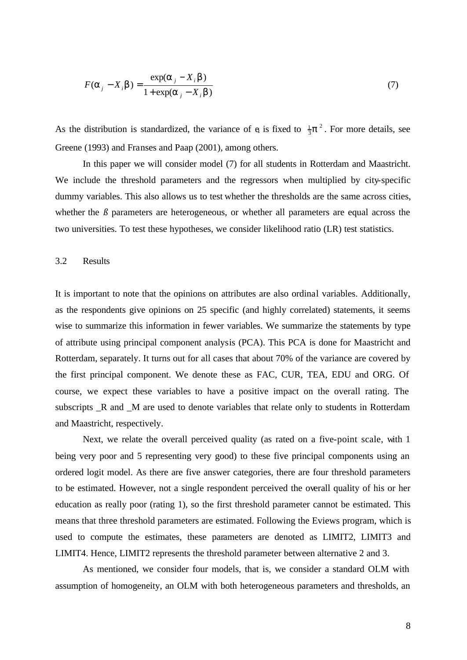$$
F(\mathbf{a}_j - X_i \mathbf{b}) = \frac{\exp(\mathbf{a}_j - X_i \mathbf{b})}{1 + \exp(\mathbf{a}_j - X_i \mathbf{b})}
$$
(7)

As the distribution is standardized, the variance of  $e_i$  is fixed to  $\frac{1}{3}p^2$ . For more details, see Greene (1993) and Franses and Paap (2001), among others.

In this paper we will consider model (7) for all students in Rotterdam and Maastricht. We include the threshold parameters and the regressors when multiplied by city-specific dummy variables. This also allows us to test whether the thresholds are the same across cities, whether the  $\beta$  parameters are heterogeneous, or whether all parameters are equal across the two universities. To test these hypotheses, we consider likelihood ratio (LR) test statistics.

### 3.2 Results

It is important to note that the opinions on attributes are also ordinal variables. Additionally, as the respondents give opinions on 25 specific (and highly correlated) statements, it seems wise to summarize this information in fewer variables. We summarize the statements by type of attribute using principal component analysis (PCA). This PCA is done for Maastricht and Rotterdam, separately. It turns out for all cases that about 70% of the variance are covered by the first principal component. We denote these as FAC, CUR, TEA, EDU and ORG. Of course, we expect these variables to have a positive impact on the overall rating. The subscripts \_R and \_M are used to denote variables that relate only to students in Rotterdam and Maastricht, respectively.

Next, we relate the overall perceived quality (as rated on a five-point scale, with 1 being very poor and 5 representing very good) to these five principal components using an ordered logit model. As there are five answer categories, there are four threshold parameters to be estimated. However, not a single respondent perceived the overall quality of his or her education as really poor (rating 1), so the first threshold parameter cannot be estimated. This means that three threshold parameters are estimated. Following the Eviews program, which is used to compute the estimates, these parameters are denoted as LIMIT2, LIMIT3 and LIMIT4. Hence, LIMIT2 represents the threshold parameter between alternative 2 and 3.

As mentioned, we consider four models, that is, we consider a standard OLM with assumption of homogeneity, an OLM with both heterogeneous parameters and thresholds, an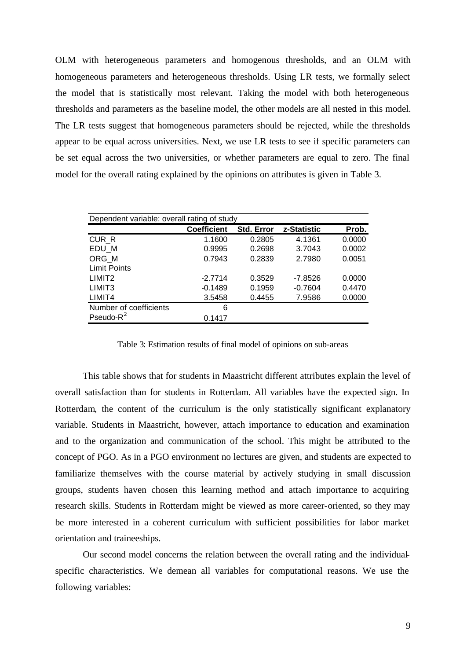OLM with heterogeneous parameters and homogenous thresholds, and an OLM with homogeneous parameters and heterogeneous thresholds. Using LR tests, we formally select the model that is statistically most relevant. Taking the model with both heterogeneous thresholds and parameters as the baseline model, the other models are all nested in this model. The LR tests suggest that homogeneous parameters should be rejected, while the thresholds appear to be equal across universities. Next, we use LR tests to see if specific parameters can be set equal across the two universities, or whether parameters are equal to zero. The final model for the overall rating explained by the opinions on attributes is given in Table 3.

| Dependent variable: overall rating of study |                    |            |             |        |  |  |  |  |  |
|---------------------------------------------|--------------------|------------|-------------|--------|--|--|--|--|--|
|                                             | <b>Coefficient</b> | Std. Error | z-Statistic | Prob.  |  |  |  |  |  |
| CUR_R                                       | 1.1600             | 0.2805     | 4.1361      | 0.0000 |  |  |  |  |  |
| EDU M                                       | 0.9995             | 0.2698     | 3.7043      | 0.0002 |  |  |  |  |  |
| ORG M                                       | 0.7943             | 0.2839     | 2.7980      | 0.0051 |  |  |  |  |  |
| <b>Limit Points</b>                         |                    |            |             |        |  |  |  |  |  |
| LIMIT <sub>2</sub>                          | $-2.7714$          | 0.3529     | $-7.8526$   | 0.0000 |  |  |  |  |  |
| LIMIT <sub>3</sub>                          | $-0.1489$          | 0.1959     | $-0.7604$   | 0.4470 |  |  |  |  |  |
| LIMIT4                                      | 3.5458             | 0.4455     | 7.9586      | 0.0000 |  |  |  |  |  |
| Number of coefficients                      | 6                  |            |             |        |  |  |  |  |  |
| Pseudo- $R^2$                               | 0.1417             |            |             |        |  |  |  |  |  |

Table 3: Estimation results of final model of opinions on sub-areas

This table shows that for students in Maastricht different attributes explain the level of overall satisfaction than for students in Rotterdam. All variables have the expected sign. In Rotterdam, the content of the curriculum is the only statistically significant explanatory variable. Students in Maastricht, however, attach importance to education and examination and to the organization and communication of the school. This might be attributed to the concept of PGO. As in a PGO environment no lectures are given, and students are expected to familiarize themselves with the course material by actively studying in small discussion groups, students haven chosen this learning method and attach importance to acquiring research skills. Students in Rotterdam might be viewed as more career-oriented, so they may be more interested in a coherent curriculum with sufficient possibilities for labor market orientation and traineeships.

Our second model concerns the relation between the overall rating and the individualspecific characteristics. We demean all variables for computational reasons. We use the following variables: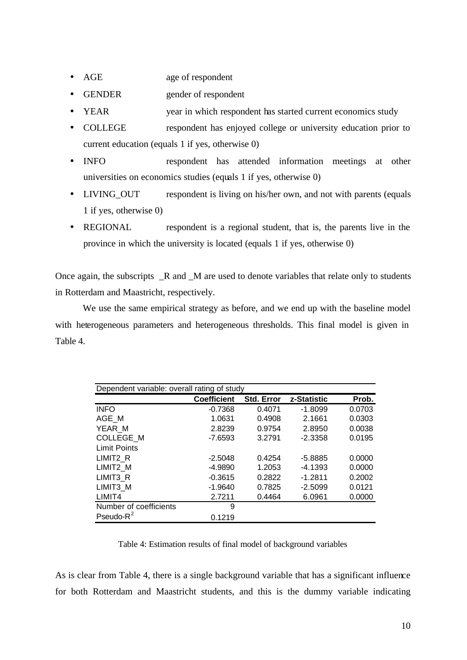- AGE age of respondent
- GENDER gender of respondent
- YEAR year in which respondent has started current economics study
- COLLEGE respondent has enjoyed college or university education prior to current education (equals 1 if yes, otherwise 0)
- INFO respondent has attended information meetings at other universities on economics studies (equals 1 if yes, otherwise 0)
- LIVING\_OUT respondent is living on his/her own, and not with parents (equals 1 if yes, otherwise 0)
- REGIONAL respondent is a regional student, that is, the parents live in the province in which the university is located (equals 1 if yes, otherwise 0)

Once again, the subscripts \_R and \_M are used to denote variables that relate only to students in Rotterdam and Maastricht, respectively.

We use the same empirical strategy as before, and we end up with the baseline model with heterogeneous parameters and heterogeneous thresholds. This final model is given in Table 4.

| Dependent variable: overall rating of study |                    |                   |             |        |  |  |  |  |
|---------------------------------------------|--------------------|-------------------|-------------|--------|--|--|--|--|
|                                             | <b>Coefficient</b> | <b>Std. Error</b> | z-Statistic | Prob.  |  |  |  |  |
| <b>INFO</b>                                 | $-0.7368$          | 0.4071            | $-1.8099$   | 0.0703 |  |  |  |  |
| AGE M                                       | 1.0631             | 0.4908            | 2.1661      | 0.0303 |  |  |  |  |
| YEAR M                                      | 2.8239             | 0.9754            | 2.8950      | 0.0038 |  |  |  |  |
| COLLEGE M                                   | $-7.6593$          | 3.2791            | $-2.3358$   | 0.0195 |  |  |  |  |
| <b>Limit Points</b>                         |                    |                   |             |        |  |  |  |  |
| LIMIT <sub>2</sub> R                        | $-2.5048$          | 0.4254            | $-5.8885$   | 0.0000 |  |  |  |  |
| LIMIT2_M                                    | $-4.9890$          | 1.2053            | $-4.1393$   | 0.0000 |  |  |  |  |
| LIMIT3 R                                    | $-0.3615$          | 0.2822            | $-1.2811$   | 0.2002 |  |  |  |  |
| LIMIT3 M                                    | $-1.9640$          | 0.7825            | $-2.5099$   | 0.0121 |  |  |  |  |
| LIMIT4                                      | 2.7211             | 0.4464            | 6.0961      | 0.0000 |  |  |  |  |
| Number of coefficients                      | 9                  |                   |             |        |  |  |  |  |
| Pseudo- $R^2$                               | 0.1219             |                   |             |        |  |  |  |  |

Table 4: Estimation results of final model of background variables

As is clear from Table 4, there is a single background variable that has a significant influence for both Rotterdam and Maastricht students, and this is the dummy variable indicating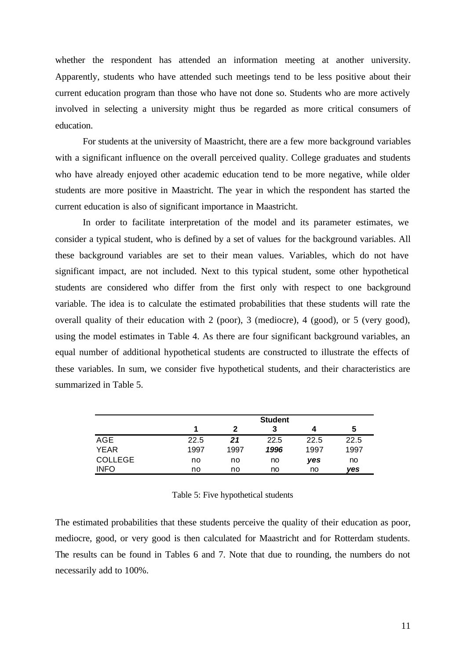whether the respondent has attended an information meeting at another university. Apparently, students who have attended such meetings tend to be less positive about their current education program than those who have not done so. Students who are more actively involved in selecting a university might thus be regarded as more critical consumers of education.

For students at the university of Maastricht, there are a few more background variables with a significant influence on the overall perceived quality. College graduates and students who have already enjoyed other academic education tend to be more negative, while older students are more positive in Maastricht. The year in which the respondent has started the current education is also of significant importance in Maastricht.

In order to facilitate interpretation of the model and its parameter estimates, we consider a typical student, who is defined by a set of values for the background variables. All these background variables are set to their mean values. Variables, which do not have significant impact, are not included. Next to this typical student, some other hypothetical students are considered who differ from the first only with respect to one background variable. The idea is to calculate the estimated probabilities that these students will rate the overall quality of their education with 2 (poor), 3 (mediocre), 4 (good), or 5 (very good), using the model estimates in Table 4. As there are four significant background variables, an equal number of additional hypothetical students are constructed to illustrate the effects of these variables. In sum, we consider five hypothetical students, and their characteristics are summarized in Table 5.

|                | <b>Student</b> |      |      |      |      |  |  |  |
|----------------|----------------|------|------|------|------|--|--|--|
|                |                | 2    | 3    | Δ    | 5    |  |  |  |
| AGE            | 22.5           | 21   | 22.5 | 22.5 | 22.5 |  |  |  |
| <b>YEAR</b>    | 1997           | 1997 | 1996 | 1997 | 1997 |  |  |  |
| <b>COLLEGE</b> | no             | no   | no   | yes  | no   |  |  |  |
| <b>INFO</b>    | no             | no   | no   | no   | ves  |  |  |  |

### Table 5: Five hypothetical students

The estimated probabilities that these students perceive the quality of their education as poor, mediocre, good, or very good is then calculated for Maastricht and for Rotterdam students. The results can be found in Tables 6 and 7. Note that due to rounding, the numbers do not necessarily add to 100%.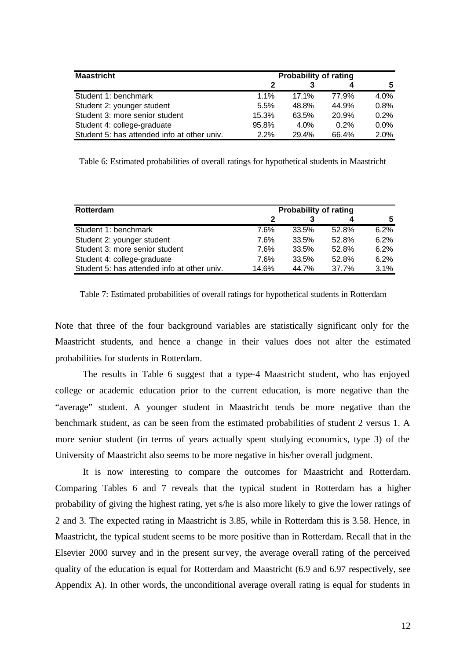| <b>Maastricht</b>                           | <b>Probability of rating</b> |         |         |         |  |  |
|---------------------------------------------|------------------------------|---------|---------|---------|--|--|
|                                             | 2                            |         | 4       | 5.      |  |  |
| Student 1: benchmark                        | $1.1\%$                      | 17.1%   | 77.9%   | 4.0%    |  |  |
| Student 2: younger student                  | 5.5%                         | 48.8%   | 44.9%   | 0.8%    |  |  |
| Student 3: more senior student              | 15.3%                        | 63.5%   | 20.9%   | 0.2%    |  |  |
| Student 4: college-graduate                 | 95.8%                        | $4.0\%$ | $0.2\%$ | $0.0\%$ |  |  |
| Student 5: has attended info at other univ. | 2.2%                         | 29.4%   | 66.4%   | 2.0%    |  |  |

Table 6: Estimated probabilities of overall ratings for hypothetical students in Maastricht

| Rotterdam                                   | <b>Probability of rating</b> |       |       |      |  |  |  |
|---------------------------------------------|------------------------------|-------|-------|------|--|--|--|
|                                             |                              |       |       |      |  |  |  |
| Student 1: benchmark                        | 7.6%                         | 33.5% | 52.8% | 6.2% |  |  |  |
| Student 2: younger student                  | 7.6%                         | 33.5% | 52.8% | 6.2% |  |  |  |
| Student 3: more senior student              | 7.6%                         | 33.5% | 52.8% | 6.2% |  |  |  |
| Student 4: college-graduate                 | 7.6%                         | 33.5% | 52.8% | 6.2% |  |  |  |
| Student 5: has attended info at other univ. | 14.6%                        | 44.7% | 37.7% | 3.1% |  |  |  |

Table 7: Estimated probabilities of overall ratings for hypothetical students in Rotterdam

Note that three of the four background variables are statistically significant only for the Maastricht students, and hence a change in their values does not alter the estimated probabilities for students in Rotterdam.

The results in Table 6 suggest that a type-4 Maastricht student, who has enjoyed college or academic education prior to the current education, is more negative than the "average" student. A younger student in Maastricht tends be more negative than the benchmark student, as can be seen from the estimated probabilities of student 2 versus 1. A more senior student (in terms of years actually spent studying economics, type 3) of the University of Maastricht also seems to be more negative in his/her overall judgment.

It is now interesting to compare the outcomes for Maastricht and Rotterdam. Comparing Tables 6 and 7 reveals that the typical student in Rotterdam has a higher probability of giving the highest rating, yet s/he is also more likely to give the lower ratings of 2 and 3. The expected rating in Maastricht is 3.85, while in Rotterdam this is 3.58. Hence, in Maastricht, the typical student seems to be more positive than in Rotterdam. Recall that in the Elsevier 2000 survey and in the present survey, the average overall rating of the perceived quality of the education is equal for Rotterdam and Maastricht (6.9 and 6.97 respectively, see Appendix A). In other words, the unconditional average overall rating is equal for students in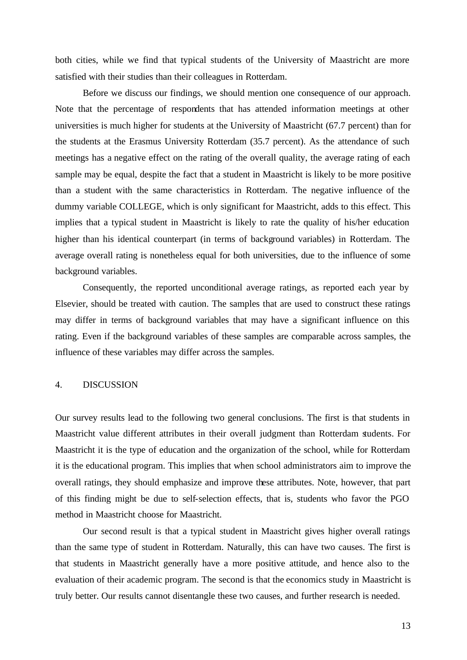both cities, while we find that typical students of the University of Maastricht are more satisfied with their studies than their colleagues in Rotterdam.

Before we discuss our findings, we should mention one consequence of our approach. Note that the percentage of respondents that has attended information meetings at other universities is much higher for students at the University of Maastricht (67.7 percent) than for the students at the Erasmus University Rotterdam (35.7 percent). As the attendance of such meetings has a negative effect on the rating of the overall quality, the average rating of each sample may be equal, despite the fact that a student in Maastricht is likely to be more positive than a student with the same characteristics in Rotterdam. The negative influence of the dummy variable COLLEGE, which is only significant for Maastricht, adds to this effect. This implies that a typical student in Maastricht is likely to rate the quality of his/her education higher than his identical counterpart (in terms of background variables) in Rotterdam. The average overall rating is nonetheless equal for both universities, due to the influence of some background variables.

Consequently, the reported unconditional average ratings, as reported each year by Elsevier, should be treated with caution. The samples that are used to construct these ratings may differ in terms of background variables that may have a significant influence on this rating. Even if the background variables of these samples are comparable across samples, the influence of these variables may differ across the samples.

### 4. DISCUSSION

Our survey results lead to the following two general conclusions. The first is that students in Maastricht value different attributes in their overall judgment than Rotterdam students. For Maastricht it is the type of education and the organization of the school, while for Rotterdam it is the educational program. This implies that when school administrators aim to improve the overall ratings, they should emphasize and improve these attributes. Note, however, that part of this finding might be due to self-selection effects, that is, students who favor the PGO method in Maastricht choose for Maastricht.

Our second result is that a typical student in Maastricht gives higher overall ratings than the same type of student in Rotterdam. Naturally, this can have two causes. The first is that students in Maastricht generally have a more positive attitude, and hence also to the evaluation of their academic program. The second is that the economics study in Maastricht is truly better. Our results cannot disentangle these two causes, and further research is needed.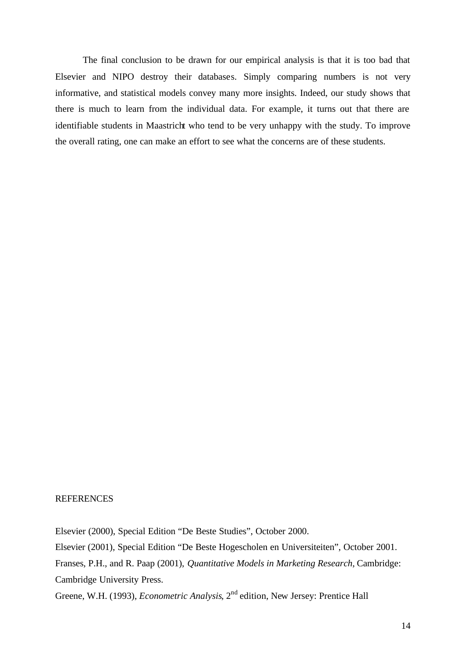The final conclusion to be drawn for our empirical analysis is that it is too bad that Elsevier and NIPO destroy their databases. Simply comparing numbers is not very informative, and statistical models convey many more insights. Indeed, our study shows that there is much to learn from the individual data. For example, it turns out that there are identifiable students in Maastricht who tend to be very unhappy with the study. To improve the overall rating, one can make an effort to see what the concerns are of these students.

### **REFERENCES**

Elsevier (2000), Special Edition "De Beste Studies", October 2000. Elsevier (2001), Special Edition "De Beste Hogescholen en Universiteiten", October 2001. Franses, P.H., and R. Paap (2001), *Quantitative Models in Marketing Research*, Cambridge: Cambridge University Press. Greene, W.H. (1993), *Econometric Analysis*, 2<sup>nd</sup> edition, New Jersey: Prentice Hall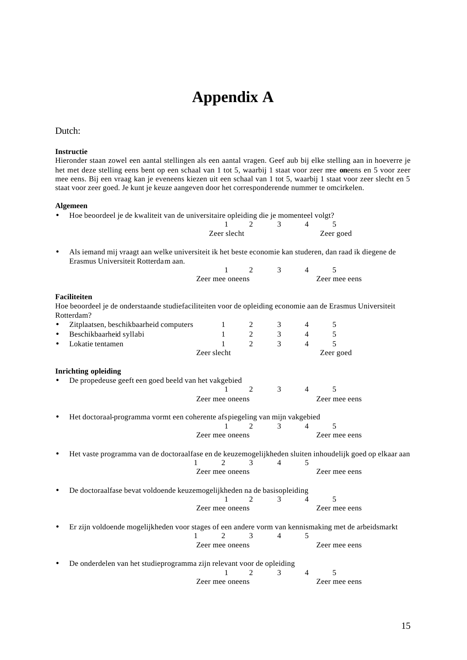## **Appendix A**

### Dutch:

#### **Instructie**

Hieronder staan zowel een aantal stellingen als een aantal vragen. Geef aub bij elke stelling aan in hoeverre je het met deze stelling eens bent op een schaal van 1 tot 5, waarbij 1 staat voor zeer mee **on**eens en 5 voor zeer mee eens. Bij een vraag kan je eveneens kiezen uit een schaal van 1 tot 5, waarbij 1 staat voor zeer slecht en 5 staat voor zeer goed. Je kunt je keuze aangeven door het corresponderende nummer te omcirkelen.

#### **Algemeen**

• Hoe beoordeel je de kwaliteit van de universitaire opleiding die je momenteel volgt?

| Zeer slecht |  | Zeer goed |  |
|-------------|--|-----------|--|

• Als iemand mij vraagt aan welke universiteit ik het beste economie kan studeren, dan raad ik diegene de Erasmus Universiteit Rotterdam aan.  $\begin{array}{ccccccc}\n2 & 4 & 5\n\end{array}$ 

| Zeer mee oneens |  | Zeer mee eens |  |
|-----------------|--|---------------|--|
|                 |  |               |  |

### **Faciliteiten**

Hoe beoordeel je de onderstaande studiefaciliteiten voor de opleiding economie aan de Erasmus Universiteit Rotterdam?

| Zitplaatsen, beschikbaarheid computers                                                                   |             |                 | 2                           | 3 | $\overline{4}$ | 5             |  |
|----------------------------------------------------------------------------------------------------------|-------------|-----------------|-----------------------------|---|----------------|---------------|--|
| Beschikbaarheid syllabi                                                                                  |             |                 | 2                           | 3 | 4              | 5             |  |
| Lokatie tentamen                                                                                         |             |                 | $\overline{c}$              | 3 | $\overline{4}$ | 5             |  |
|                                                                                                          | Zeer slecht |                 |                             |   |                | Zeer goed     |  |
| <b>Inrichting opleiding</b>                                                                              |             |                 |                             |   |                |               |  |
| De propedeuse geeft een goed beeld van het vakgebied                                                     |             |                 |                             |   |                |               |  |
|                                                                                                          |             |                 | $\mathcal{D}_{\mathcal{L}}$ | 3 | $\overline{4}$ | 5             |  |
|                                                                                                          |             | Zeer mee oneens |                             |   |                | Zeer mee eens |  |
| Het doctoraal-programma vormt een coherente afspiegeling van mijn vakgebied                              |             |                 |                             |   |                |               |  |
|                                                                                                          |             |                 | 2                           | 3 | 4              | 5             |  |
|                                                                                                          |             | Zeer mee oneens |                             |   |                | Zeer mee eens |  |
| Het vaste programma van de doctoraalfase en de keuzemogelijkheden sluiten inhoudelijk goed op elkaar aan |             |                 |                             |   |                |               |  |
|                                                                                                          |             |                 | 3                           | 4 | 5              |               |  |
|                                                                                                          |             | Zeer mee oneens |                             |   |                | Zeer mee eens |  |
| De doctoraalfase bevat voldoende keuzemogelijkheden na de basisopleiding                                 |             |                 |                             |   |                |               |  |
|                                                                                                          |             |                 | $\mathcal{D}_{\mathcal{L}}$ | 3 | 4              | 5             |  |
|                                                                                                          |             | Zeer mee oneens |                             |   |                | Zeer mee eens |  |
| Er zijn voldoende mogelijkheden voor stages of een andere vorm van kennismaking met de arbeidsmarkt      |             |                 |                             |   |                |               |  |
|                                                                                                          |             | 2               | 3                           | 4 | 5              |               |  |
|                                                                                                          |             | Zeer mee oneens |                             |   |                | Zeer mee eens |  |
| De onderdelen van het studieprogramma zijn relevant voor de opleiding                                    |             |                 |                             |   |                |               |  |
|                                                                                                          |             |                 |                             | 3 | 4              | 5             |  |
|                                                                                                          |             | Zeer mee oneens |                             |   |                | Zeer mee eens |  |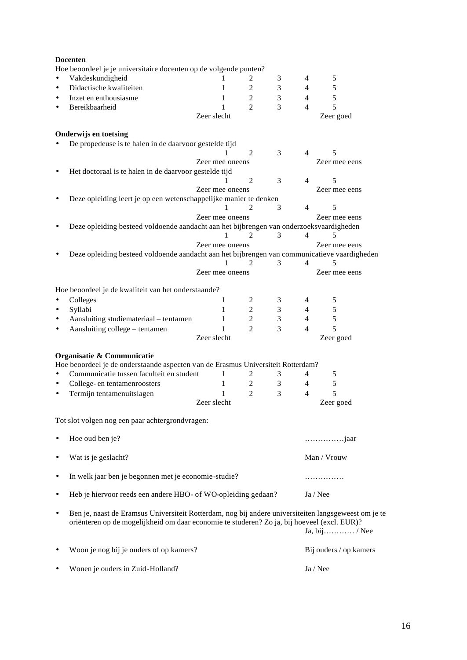|           | <b>Docenten</b>                                                                                      |                  |                |                |                |                        |  |
|-----------|------------------------------------------------------------------------------------------------------|------------------|----------------|----------------|----------------|------------------------|--|
|           | Hoe beoordeel je je universitaire docenten op de volgende punten?                                    |                  |                |                |                |                        |  |
| $\bullet$ | Vakdeskundigheid                                                                                     | 1                | 2              | 3              | 4              | 5                      |  |
| ٠         | Didactische kwaliteiten                                                                              | 1                | 2              | 3              | $\overline{4}$ | 5                      |  |
| $\bullet$ | Inzet en enthousiasme                                                                                | 1                | 2              | 3              | $\overline{4}$ | 5                      |  |
| $\bullet$ | Bereikbaarheid                                                                                       | 1                | 2              | 3              | 4              | 5                      |  |
|           |                                                                                                      | Zeer slecht      |                |                |                | Zeer goed              |  |
|           |                                                                                                      |                  |                |                |                |                        |  |
|           | <b>Onderwijs en toetsing</b>                                                                         |                  |                |                |                |                        |  |
|           | De propedeuse is te halen in de daarvoor gestelde tijd                                               |                  |                |                |                |                        |  |
|           |                                                                                                      |                  | 2              | 3              | $\overline{4}$ | 5                      |  |
|           |                                                                                                      | Zeer mee oneens  |                |                |                | Zeer mee eens          |  |
|           | Het doctoraal is te halen in de daarvoor gestelde tijd                                               |                  |                |                |                |                        |  |
|           |                                                                                                      |                  | $\overline{2}$ | 3              | 4              | 5                      |  |
|           |                                                                                                      | Zeer mee oneens  |                |                |                | Zeer mee eens          |  |
|           | Deze opleiding leert je op een wetenschappelijke manier te denken                                    |                  |                |                |                |                        |  |
|           |                                                                                                      |                  | 2              | 3              | 4              | 5                      |  |
|           |                                                                                                      | Zeer mee oneens  |                |                |                | Zeer mee eens          |  |
|           | Deze opleiding besteed voldoende aandacht aan het bijbrengen van onderzoeksvaardigheden              |                  |                |                |                |                        |  |
|           |                                                                                                      | 1                | 2              | 3              | $\overline{4}$ | 5                      |  |
|           |                                                                                                      | Zeer mee oneens  |                |                |                | Zeer mee eens          |  |
|           | Deze opleiding besteed voldoende aandacht aan het bijbrengen van communicatieve vaardigheden         | 1                | 2              | 3              | $\overline{4}$ |                        |  |
|           |                                                                                                      |                  |                |                |                | 5                      |  |
|           |                                                                                                      | Zeer mee oneens  |                |                |                | Zeer mee eens          |  |
|           | Hoe beoordeel je de kwaliteit van het onderstaande?                                                  |                  |                |                |                |                        |  |
| $\bullet$ | Colleges                                                                                             | 1                | 2              | 3              | 4              | 5                      |  |
| $\bullet$ | Syllabi                                                                                              | $\mathbf 1$      | 2              | 3              | $\overline{4}$ | 5                      |  |
|           |                                                                                                      | $\mathbf 1$      | 2              | $\mathfrak{Z}$ | $\overline{4}$ | 5                      |  |
| ٠         | Aansluiting studiemateriaal - tentamen                                                               |                  | $\overline{c}$ | 3              | 4              | 5                      |  |
|           | Aansluiting college - tentamen                                                                       | 1<br>Zeer slecht |                |                |                |                        |  |
|           |                                                                                                      |                  |                |                |                | Zeer goed              |  |
|           | Organisatie & Communicatie                                                                           |                  |                |                |                |                        |  |
|           | Hoe beoordeel je de onderstaande aspecten van de Erasmus Universiteit Rotterdam?                     |                  |                |                |                |                        |  |
| $\bullet$ | Communicatie tussen faculteit en student                                                             | 1                | 2              | 3              | 4              | 5                      |  |
| $\bullet$ | College- en tentamenroosters                                                                         | $\mathbf 1$      | 2              | 3              | $\overline{4}$ | 5                      |  |
| $\bullet$ | Termijn tentamenuitslagen                                                                            | 1                | $\overline{c}$ | 3              | $\overline{4}$ | 5                      |  |
|           |                                                                                                      | Zeer slecht      |                |                |                | Zeer goed              |  |
|           |                                                                                                      |                  |                |                |                |                        |  |
|           | Tot slot volgen nog een paar achtergrondvragen:                                                      |                  |                |                |                |                        |  |
|           |                                                                                                      |                  |                |                |                |                        |  |
|           | Hoe oud ben je?                                                                                      |                  |                |                |                | <i>jaar</i>            |  |
|           |                                                                                                      |                  |                |                |                |                        |  |
|           | Wat is je geslacht?                                                                                  |                  |                |                |                | Man / Vrouw            |  |
|           |                                                                                                      |                  |                |                |                |                        |  |
|           | In welk jaar ben je begonnen met je economie-studie?                                                 |                  |                |                |                | .                      |  |
|           |                                                                                                      |                  |                |                |                |                        |  |
|           | Heb je hiervoor reeds een andere HBO- of WO-opleiding gedaan?                                        |                  |                |                | Ja / Nee       |                        |  |
|           |                                                                                                      |                  |                |                |                |                        |  |
| ٠         | Ben je, naast de Eramsus Universiteit Rotterdam, nog bij andere universiteiten langsgeweest om je te |                  |                |                |                |                        |  |
|           | oriënteren op de mogelijkheid om daar economie te studeren? Zo ja, bij hoeveel (excl. EUR)?          |                  |                |                |                |                        |  |
|           |                                                                                                      |                  |                |                |                | Ja, bij / Nee          |  |
|           |                                                                                                      |                  |                |                |                |                        |  |
|           | Woon je nog bij je ouders of op kamers?                                                              |                  |                |                |                | Bij ouders / op kamers |  |
|           |                                                                                                      |                  |                |                |                |                        |  |
|           | Wonen je ouders in Zuid-Holland?                                                                     |                  |                |                | Ja / Nee       |                        |  |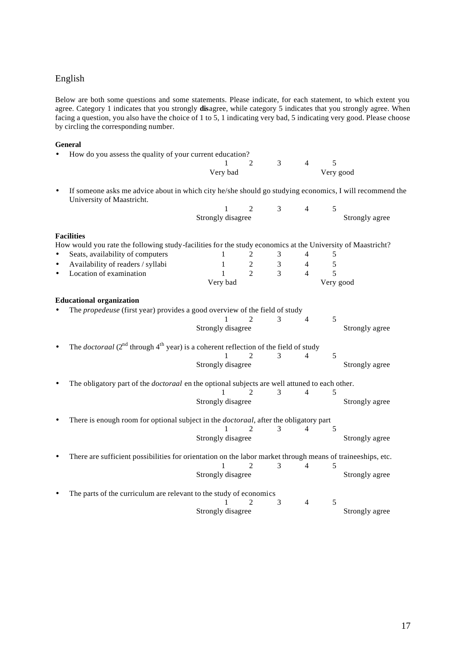### English

Below are both some questions and some statements. Please indicate, for each statement, to which extent you agree. Category 1 indicates that you strongly **dis**agree, while category 5 indicates that you strongly agree. When facing a question, you also have the choice of 1 to 5, 1 indicating very bad, 5 indicating very good. Please choose by circling the corresponding number.

### **General**

| • How do you assess the quality of your current education?                                                                             |          |             |               |                |           |  |
|----------------------------------------------------------------------------------------------------------------------------------------|----------|-------------|---------------|----------------|-----------|--|
|                                                                                                                                        |          | $1 \quad 2$ | $\mathcal{R}$ | $\overline{4}$ |           |  |
|                                                                                                                                        | Very bad |             |               |                | Very good |  |
| • If someone asks me advice about in which city he/she should go studying economics, I will recommend the<br>University of Maastricht. |          |             |               |                |           |  |

| Strongly disagree |  |  | Strongly agree |
|-------------------|--|--|----------------|

Strongly disagree Strongly agree

### **Facilities**

| How would you rate the following study-facilities for the study economics at the University of Maastricht? |                   |                             |               |                |           |                |
|------------------------------------------------------------------------------------------------------------|-------------------|-----------------------------|---------------|----------------|-----------|----------------|
| Seats, availability of computers<br>$\bullet$                                                              |                   |                             | 3             | 4              | 5         |                |
| Availability of readers / syllabi<br>$\bullet$                                                             | 1                 | 2                           | 3             | $\overline{4}$ | 5         |                |
| Location of examination                                                                                    |                   | $\mathcal{D}_{\alpha}$      | $\mathcal{E}$ | $\overline{4}$ | 5         |                |
|                                                                                                            | Very bad          |                             |               |                | Very good |                |
| <b>Educational organization</b>                                                                            |                   |                             |               |                |           |                |
| The propedeuse (first year) provides a good overview of the field of study                                 |                   |                             |               |                |           |                |
|                                                                                                            |                   |                             | $\mathcal{E}$ | 4              | 5         |                |
|                                                                                                            | Strongly disagree |                             |               |                |           | Strongly agree |
| The <i>doctoraal</i> $(2^{nd}$ through $4^{th}$ year) is a coherent reflection of the field of study       |                   |                             |               |                |           |                |
|                                                                                                            |                   | $\mathcal{D}_{\mathcal{L}}$ | 3             | $\overline{4}$ | 5         |                |
|                                                                                                            | Strongly disagree |                             |               |                |           | Strongly agree |
| The obligatory part of the <i>doctoraal</i> en the optional subjects are well attuned to each other.       |                   |                             |               |                |           |                |
|                                                                                                            |                   | $\mathcal{D}_{\mathcal{L}}$ | 3             | 4              | 5         |                |
|                                                                                                            | Strongly disagree |                             |               |                |           | Strongly agree |
| There is enough room for optional subject in the <i>doctoraal</i> , after the obligatory part              |                   |                             |               |                |           |                |
|                                                                                                            |                   | $\mathcal{D}_{\mathcal{L}}$ | 3             | $\overline{4}$ | 5         |                |
|                                                                                                            | Strongly disagree |                             |               |                |           | Strongly agree |
| There are sufficient possibilities for orientation on the labor market through means of traineeships, etc. |                   |                             |               |                |           |                |
|                                                                                                            | 1                 | 2                           | 3             | 4              | 5         |                |

| • The parts of the curriculum are relevant to the study of economics |                   |               |          |                |
|----------------------------------------------------------------------|-------------------|---------------|----------|----------------|
|                                                                      |                   | $1 \t 2 \t 3$ | $\sim$ 4 |                |
|                                                                      | Strongly disagree |               |          | Strongly agree |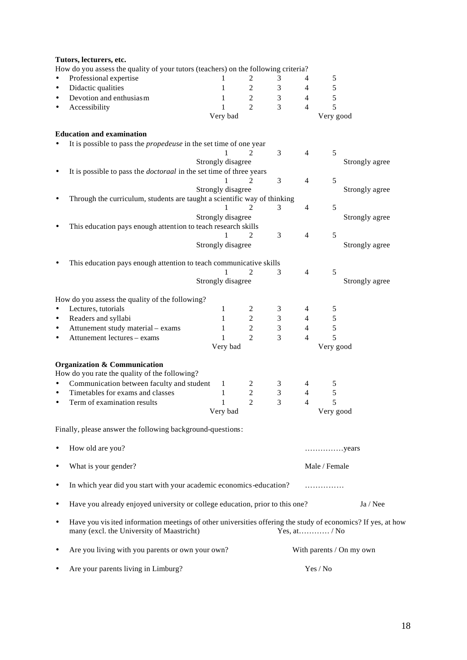|           | Tutors, lecturers, etc.                                                                                     |                   |                                                 |                |                          |                                        |                          |
|-----------|-------------------------------------------------------------------------------------------------------------|-------------------|-------------------------------------------------|----------------|--------------------------|----------------------------------------|--------------------------|
|           | How do you assess the quality of your tutors (teachers) on the following criteria?                          |                   |                                                 |                |                          |                                        |                          |
|           | Professional expertise                                                                                      |                   | 2                                               | 3              | 4                        | 5                                      |                          |
|           | Didactic qualities                                                                                          | 1                 | $\mathbf 2$                                     | $\mathfrak 3$  | $\overline{\mathcal{L}}$ | $\sqrt{5}$                             |                          |
|           | Devotion and enthusiasm                                                                                     | 1                 | $\sqrt{2}$                                      | $\mathfrak{Z}$ | $\overline{\mathcal{L}}$ | 5                                      |                          |
|           | Accessibility                                                                                               | 1                 | $\overline{2}$                                  | $\overline{3}$ | $\overline{4}$           | 5                                      |                          |
|           |                                                                                                             | Very bad          |                                                 |                |                          | Very good                              |                          |
|           | <b>Education and examination</b>                                                                            |                   |                                                 |                |                          |                                        |                          |
|           | It is possible to pass the <i>propedeuse</i> in the set time of one year                                    |                   |                                                 |                |                          |                                        |                          |
|           |                                                                                                             |                   | $\overline{c}$                                  | 3              | $\overline{4}$           | 5                                      |                          |
|           |                                                                                                             | Strongly disagree |                                                 |                |                          |                                        | Strongly agree           |
|           | It is possible to pass the <i>doctoraal</i> in the set time of three years                                  |                   |                                                 |                |                          |                                        |                          |
|           |                                                                                                             |                   | 2                                               | 3              | $\overline{4}$           | 5                                      |                          |
|           |                                                                                                             | Strongly disagree |                                                 |                |                          |                                        | Strongly agree           |
|           | Through the curriculum, students are taught a scientific way of thinking                                    |                   |                                                 |                |                          |                                        |                          |
|           |                                                                                                             |                   | $\overline{c}$                                  | 3              | 4                        | 5                                      |                          |
|           |                                                                                                             | Strongly disagree |                                                 |                |                          |                                        | Strongly agree           |
|           | This education pays enough attention to teach research skills                                               |                   | $\overline{2}$                                  | 3              | $\overline{4}$           | 5                                      |                          |
|           |                                                                                                             | Strongly disagree |                                                 |                |                          |                                        | Strongly agree           |
|           |                                                                                                             |                   |                                                 |                |                          |                                        |                          |
|           | This education pays enough attention to teach communicative skills                                          |                   |                                                 |                |                          |                                        |                          |
|           |                                                                                                             |                   | 2                                               | 3              | $\overline{4}$           | $\mathfrak s$                          |                          |
|           |                                                                                                             | Strongly disagree |                                                 |                |                          |                                        | Strongly agree           |
|           |                                                                                                             |                   |                                                 |                |                          |                                        |                          |
|           | How do you assess the quality of the following?                                                             |                   |                                                 |                |                          |                                        |                          |
|           | Lectures, tutorials                                                                                         | 1                 | 2                                               | 3              | 4                        | 5                                      |                          |
| ٠         | Readers and syllabi                                                                                         | 1                 | $\mathfrak{2}% \left( \mathfrak{2}\right) ^{2}$ | 3              | $\overline{4}$           | 5                                      |                          |
|           | Attunement study material - exams                                                                           | 1                 | $\sqrt{2}$                                      | $\mathfrak{Z}$ | 4                        | 5                                      |                          |
|           | Attunement lectures - exams                                                                                 | 1                 | $\overline{2}$                                  | $\overline{3}$ | $\overline{4}$           | 5                                      |                          |
|           |                                                                                                             | Very bad          |                                                 |                |                          | Very good                              |                          |
|           |                                                                                                             |                   |                                                 |                |                          |                                        |                          |
|           | <b>Organization &amp; Communication</b><br>How do you rate the quality of the following?                    |                   |                                                 |                |                          |                                        |                          |
|           | Communication between faculty and student                                                                   | 1                 | 2                                               |                | 4                        | 5                                      |                          |
|           | Timetables for exams and classes                                                                            | $\mathbf{1}$      | $\overline{c}$                                  | 3<br>3         | 4                        | 5                                      |                          |
| $\bullet$ | Term of examination results                                                                                 | $\mathbf{1}$      | $\overline{2}$                                  | 3              | 4                        | 5                                      |                          |
|           |                                                                                                             | Very bad          |                                                 |                |                          | Very good                              |                          |
|           |                                                                                                             |                   |                                                 |                |                          |                                        |                          |
|           | Finally, please answer the following background-questions:                                                  |                   |                                                 |                |                          |                                        |                          |
|           |                                                                                                             |                   |                                                 |                |                          |                                        |                          |
|           | How old are you?                                                                                            |                   |                                                 |                |                          | years                                  |                          |
|           |                                                                                                             |                   |                                                 |                |                          |                                        |                          |
| ٠         | What is your gender?                                                                                        |                   |                                                 |                |                          | Male / Female                          |                          |
|           |                                                                                                             |                   |                                                 |                |                          |                                        |                          |
| ٠         | In which year did you start with your academic economics-education?                                         |                   |                                                 |                |                          | .                                      |                          |
|           |                                                                                                             |                   |                                                 |                |                          |                                        |                          |
| ٠         | Have you already enjoyed university or college education, prior to this one?                                |                   |                                                 |                |                          |                                        | Ja / Nee                 |
|           |                                                                                                             |                   |                                                 |                |                          |                                        |                          |
| ٠         | Have you visited information meetings of other universities offering the study of economics? If yes, at how |                   |                                                 |                |                          |                                        |                          |
|           | many (excl. the University of Maastricht)                                                                   |                   |                                                 |                |                          |                                        |                          |
|           | Are you living with you parents or own your own?                                                            |                   |                                                 |                |                          |                                        | With parents / On my own |
|           |                                                                                                             |                   |                                                 |                |                          |                                        |                          |
|           | Are your parents living in Limburg?                                                                         |                   |                                                 |                |                          | $\operatorname{Yes}/\operatorname{No}$ |                          |
|           |                                                                                                             |                   |                                                 |                |                          |                                        |                          |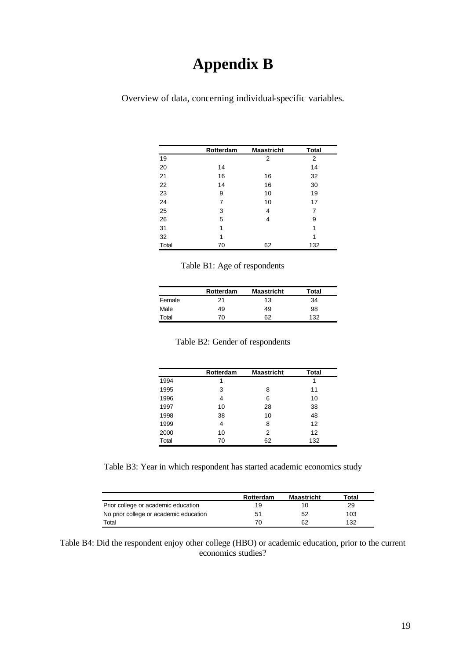# **Appendix B**

Overview of data, concerning individual-specific variables.

|              | Rotterdam | <b>Maastricht</b> | <b>Total</b> |
|--------------|-----------|-------------------|--------------|
| 19           |           | 2                 | 2            |
| 20           | 14        |                   | 14           |
| 21           | 16        | 16                | 32           |
| 22           | 14        | 16                | 30           |
| 23           | 9         | 10                | 19           |
| 24           | 7         | 10                | 17           |
| 25           | 3         | 4                 | 7            |
| 26           | 5         | 4                 | 9            |
| 31           | 1         |                   | 1            |
| 32           | 1         |                   | 1            |
| <b>Total</b> | 70        | 62                | 132          |

| Table B1: Age of respondents |  |  |  |
|------------------------------|--|--|--|
|------------------------------|--|--|--|

|        | Rotterdam | <b>Maastricht</b> | Total |
|--------|-----------|-------------------|-------|
| Female | 21        | 13                | 34    |
| Male   | 49        | 49                | 98    |
| Total  | 70        | 62                | 132   |

|  |  |  | Table B2: Gender of respondents |
|--|--|--|---------------------------------|
|--|--|--|---------------------------------|

|       | Rotterdam | <b>Maastricht</b> | <b>Total</b> |
|-------|-----------|-------------------|--------------|
| 1994  | 1         |                   | 1            |
| 1995  | 3         | 8                 | 11           |
| 1996  | 4         | 6                 | 10           |
| 1997  | 10        | 28                | 38           |
| 1998  | 38        | 10                | 48           |
| 1999  | 4         | 8                 | 12           |
| 2000  | 10        | 2                 | 12           |
| Total | 70        | 62                | 132          |

Table B3: Year in which respondent has started academic economics study

|                                        | Rotterdam | <b>Maastricht</b> | Total |
|----------------------------------------|-----------|-------------------|-------|
| Prior college or academic education    | 19        | 10                | 29    |
| No prior college or academic education | 51        | 52                | 103   |
| Total                                  | 70        | 62                | 132   |

Table B4: Did the respondent enjoy other college (HBO) or academic education, prior to the current economics studies?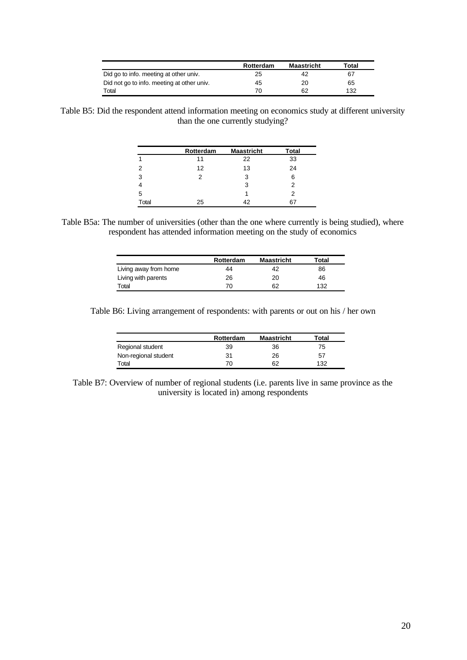|                                            | Rotterdam | <b>Maastricht</b> | Total |
|--------------------------------------------|-----------|-------------------|-------|
| Did go to info. meeting at other univ.     | 25        | 42                | 67    |
| Did not go to info. meeting at other univ. | 45        | 20                | 65    |
| Total                                      | 7٨        | 62                | 132   |

Table B5: Did the respondent attend information meeting on economics study at different university than the one currently studying?

|       | Rotterdam | <b>Maastricht</b> | <b>Total</b> |
|-------|-----------|-------------------|--------------|
|       | 11        | 22                | 33           |
| 2     | 12        | 13                | 24           |
| 3     | 2         | 3                 | 6            |
|       |           | 3                 |              |
| 5     |           |                   | 2            |
| Total | 25        | 42                | 6.           |

Table B5a: The number of universities (other than the one where currently is being studied), where respondent has attended information meeting on the study of economics

|                       | Rotterdam | <b>Maastricht</b> | Total |
|-----------------------|-----------|-------------------|-------|
| Living away from home | 44        | 42                | 86    |
| Living with parents   | 26        | 20                | 46    |
| Total                 | 70        | 62                | 132   |

Table B6: Living arrangement of respondents: with parents or out on his / her own

|                      | Rotterdam | <b>Maastricht</b> | Total |
|----------------------|-----------|-------------------|-------|
| Regional student     | 39        | 36                | 75    |
| Non-regional student | 31        | 26                | 57    |
| Total                | 70        |                   | 132   |

Table B7: Overview of number of regional students (i.e. parents live in same province as the university is located in) among respondents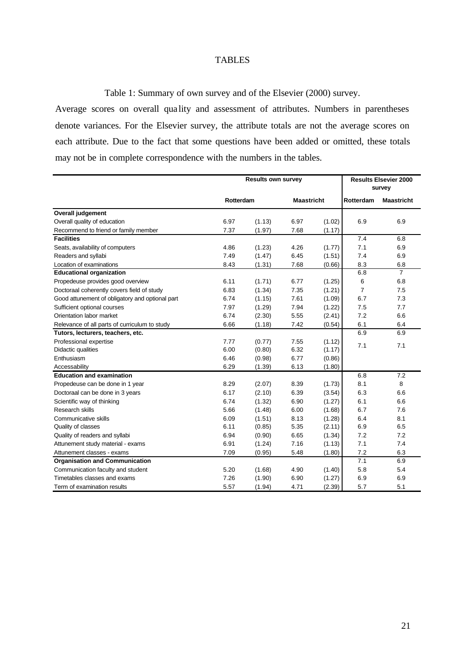### TABLES

Table 1: Summary of own survey and of the Elsevier (2000) survey.

Average scores on overall qua lity and assessment of attributes. Numbers in parentheses denote variances. For the Elsevier survey, the attribute totals are not the average scores on each attribute. Due to the fact that some questions have been added or omitted, these totals may not be in complete correspondence with the numbers in the tables.

|                                                 | <b>Results own survey</b> |        |                   |        | <b>Results Elsevier 2000</b><br>survey |                   |
|-------------------------------------------------|---------------------------|--------|-------------------|--------|----------------------------------------|-------------------|
|                                                 | Rotterdam                 |        | <b>Maastricht</b> |        | Rotterdam                              | <b>Maastricht</b> |
| <b>Overall judgement</b>                        |                           |        |                   |        |                                        |                   |
| Overall quality of education                    | 6.97                      | (1.13) | 6.97              | (1.02) | 6.9                                    | 6.9               |
| Recommend to friend or family member            | 7.37                      | (1.97) | 7.68              | (1.17) |                                        |                   |
| <b>Facilities</b>                               |                           |        |                   |        | 7.4                                    | 6.8               |
| Seats, availability of computers                | 4.86                      | (1.23) | 4.26              | (1.77) | 7.1                                    | 6.9               |
| Readers and syllabi                             | 7.49                      | (1.47) | 6.45              | (1.51) | 7.4                                    | 6.9               |
| Location of examinations                        | 8.43                      | (1.31) | 7.68              | (0.66) | 8.3                                    | 6.8               |
| <b>Educational organization</b>                 |                           |        |                   |        | 6.8                                    | $\overline{7}$    |
| Propedeuse provides good overview               | 6.11                      | (1.71) | 6.77              | (1.25) | 6                                      | 6.8               |
| Doctoraal coherently covers field of study      | 6.83                      | (1.34) | 7.35              | (1.21) | $\overline{7}$                         | 7.5               |
| Good attunement of obligatory and optional part | 6.74                      | (1.15) | 7.61              | (1.09) | 6.7                                    | 7.3               |
| Sufficient optional courses                     | 7.97                      | (1.29) | 7.94              | (1.22) | 7.5                                    | 7.7               |
| Orientation labor market                        | 6.74                      | (2.30) | 5.55              | (2.41) | 7.2                                    | 6.6               |
| Relevance of all parts of curriculum to study   | 6.66                      | (1.18) | 7.42              | (0.54) | 6.1                                    | 6.4               |
| Tutors, lecturers, teachers, etc.               |                           |        |                   |        | 6.9                                    | 6.9               |
| Professional expertise                          | 7.77                      | (0.77) | 7.55              | (1.12) | 7.1                                    | 7.1               |
| Didactic qualities                              | 6.00                      | (0.80) | 6.32              | (1.17) |                                        |                   |
| Enthusiasm                                      | 6.46                      | (0.98) | 6.77              | (0.86) |                                        |                   |
| Accessability                                   | 6.29                      | (1.39) | 6.13              | (1.80) |                                        |                   |
| <b>Education and examination</b>                |                           |        |                   |        | 6.8                                    | 7.2               |
| Propedeuse can be done in 1 year                | 8.29                      | (2.07) | 8.39              | (1.73) | 8.1                                    | 8                 |
| Doctoraal can be done in 3 years                | 6.17                      | (2.10) | 6.39              | (3.54) | 6.3                                    | 6.6               |
| Scientific way of thinking                      | 6.74                      | (1.32) | 6.90              | (1.27) | 6.1                                    | 6.6               |
| Research skills                                 | 5.66                      | (1.48) | 6.00              | (1.68) | 6.7                                    | 7.6               |
| Communicative skills                            | 6.09                      | (1.51) | 8.13              | (1.28) | 6.4                                    | 8.1               |
| Quality of classes                              | 6.11                      | (0.85) | 5.35              | (2.11) | 6.9                                    | 6.5               |
| Quality of readers and syllabi                  | 6.94                      | (0.90) | 6.65              | (1.34) | 7.2                                    | 7.2               |
| Attunement study material - exams               | 6.91                      | (1.24) | 7.16              | (1.13) | 7.1                                    | 7.4               |
| Attunement classes - exams                      | 7.09                      | (0.95) | 5.48              | (1.80) | 7.2                                    | 6.3               |
| <b>Organisation and Communication</b>           |                           |        |                   |        | 7.1                                    | 6.9               |
| Communication faculty and student               | 5.20                      | (1.68) | 4.90              | (1.40) | 5.8                                    | 5.4               |
| Timetables classes and exams                    | 7.26                      | (1.90) | 6.90              | (1.27) | 6.9                                    | 6.9               |
| Term of examination results                     | 5.57                      | (1.94) | 4.71              | (2.39) | 5.7                                    | 5.1               |